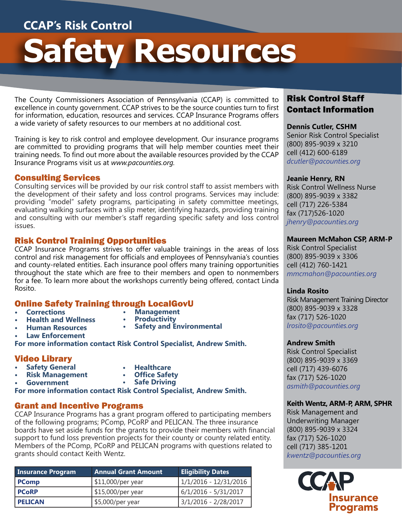# **CCAP's Risk Control**

# **Safety Resources**

The County Commissioners Association of Pennsylvania (CCAP) is committed to excellence in county government. CCAP strives to be the source counties turn to first for information, education, resources and services. CCAP Insurance Programs offers a wide variety of safety resources to our members at no additional cost.

Training is key to risk control and employee development. Our insurance programs are committed to providing programs that will help member counties meet their training needs. To find out more about the available resources provided by the CCAP Insurance Programs visit us at *www.pacounties.org.*

#### Consulting Services

Consulting services will be provided by our risk control staff to assist members with the development of their safety and loss control programs. Services may include: providing "model" safety programs, participating in safety committee meetings, evaluating walking surfaces with a slip meter, identifying hazards, providing training and consulting with our member's staff regarding specific safety and loss control issues.

#### Risk Control Training Opportunities

CCAP Insurance Programs strives to offer valuable trainings in the areas of loss control and risk management for officials and employees of Pennsylvania's counties and county-related entities. Each insurance pool offers many training opportunities throughout the state which are free to their members and open to nonmembers for a fee. To learn more about the workshops currently being offered, contact Linda Rosito.

# **Online Safety Training through LocalGovU**<br>• Corrections **1998** • Management

- **• Corrections**
- **• Health and Wellness** 
	-
	- **• Human Resources**
- **• Management • Productivity • Safety and Environmental**
- 
- **• Law Enforcement**

**For more information contact Risk Control Specialist, Andrew Smith.** 

# Video Library

- **• Safety General • Risk Management**
- **• Healthcare • Office Safety**
- 
- **• Government**
- **• Safe Driving**

**For more information contact Risk Control Specialist, Andrew Smith.** 

# Grant and Incentive Programs

CCAP Insurance Programs has a grant program offered to participating members of the following programs; PComp, PCoRP and PELICAN. The three insurance boards have set aside funds for the grants to provide their members with financial support to fund loss prevention projects for their county or county related entity. Members of the PComp, PCoRP and PELICAN programs with questions related to grants should contact Keith Wentz.

| <b>Insurance Program</b> | <b>Annual Grant Amount</b> | <b>Eligibility Dates</b> |
|--------------------------|----------------------------|--------------------------|
| <b>PComp</b>             | \$11,000/per year          | 1/1/2016 - 12/31/2016    |
| <b>PCoRP</b>             | $\frac{15,000}{p}$ er year | 6/1/2016 - 5/31/2017     |
| <b>PELICAN</b>           | \$5,000/per year           | 3/1/2016 - 2/28/2017     |

# Risk Control Staff Contact Information

**Dennis Cutler, CSHM**  Senior Risk Control Specialist (800) 895-9039 x 3210 cell (412) 600-6189 *dcutler@pacounties.org*

## **Jeanie Henry, RN**

Risk Control Wellness Nurse (800) 895-9039 x 3382 cell (717) 226-5384 fax (717)526-1020 *jhenry@pacounties.org*

## **Maureen McMahon CSP, ARM-P**

Risk Control Specialist (800) 895-9039 x 3306 cell (412) 760-1421 *mmcmahon@pacounties.org*

#### **Linda Rosito**

Risk Management Training Director (800) 895-9039 x 3328 fax (717) 526-1020 *lrosito@pacounties.org*

## **Andrew Smith**

Risk Control Specialist (800) 895-9039 x 3369 cell (717) 439-6076 fax (717) 526-1020 *asmith@pacounties.org*

## **Keith Wentz, ARM-P, ARM, SPHR**

Risk Management and Underwriting Manager (800) 895-9039 x 3324 fax (717) 526-1020 cell (717) 385-1201 *kwentz@pacounties.org*